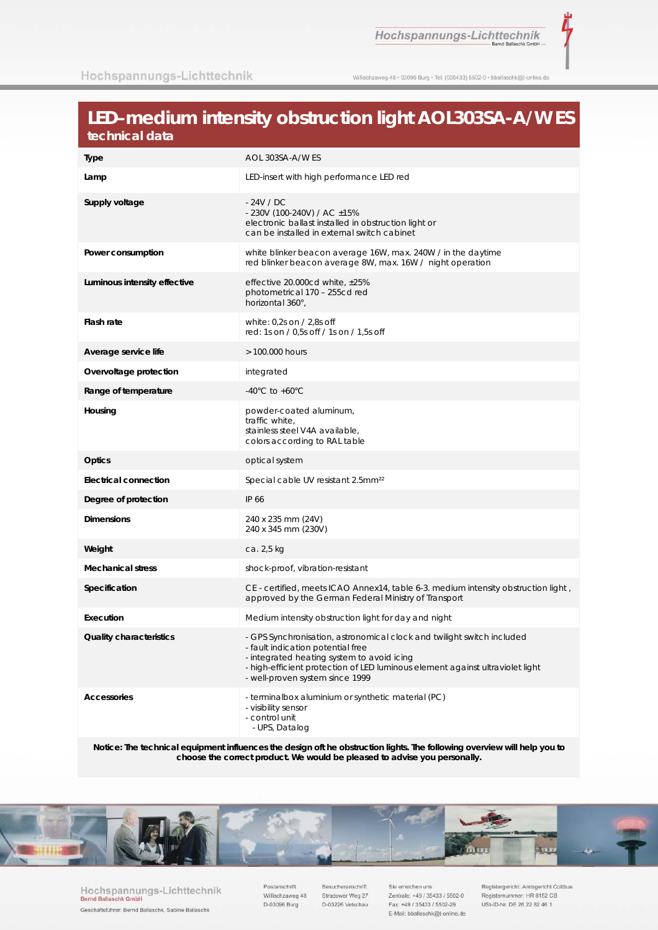Hochspannungs-Lichttechnik

Willischzaweg 48 · 03096 Burg · Tel. (035433) 5502-0 · bballaschk@t-online.de

## LED-medium intensity obstruction light AOL303SA-A/W ES technical data

| Type                         | AOL 303SA-A/W ES                                                                                                                                                                                                                                                            |  |  |
|------------------------------|-----------------------------------------------------------------------------------------------------------------------------------------------------------------------------------------------------------------------------------------------------------------------------|--|--|
| Lamp                         | LED-insert with high performance LED red                                                                                                                                                                                                                                    |  |  |
| Supply voltage               | - 24V / DC<br>- 230V (100-240V) / AC ±15%<br>electronic ballast installed in obstruction light or<br>can be installed in external switch cabinet                                                                                                                            |  |  |
| Power consumption            | white blinker beacon average 16W, max. 240W / in the daytime<br>red blinker beacon average 8W, max. 16W / night operation                                                                                                                                                   |  |  |
| Luminous intensity effective | effective 20.000cd white, $\pm 25\%$<br>photometrical 170 - 255cd red<br>horizontal 360°,                                                                                                                                                                                   |  |  |
| Flash rate                   | white: $0,2s$ on / 2,8s off<br>red: 1s on / 0,5s off / 1s on / 1,5s off                                                                                                                                                                                                     |  |  |
| Average service life         | > 100.000 hours                                                                                                                                                                                                                                                             |  |  |
| Overvoltage protection       | integrated                                                                                                                                                                                                                                                                  |  |  |
| Range of temperature         | -40 $^{\circ}$ C to +60 $^{\circ}$ C                                                                                                                                                                                                                                        |  |  |
| Housing                      | powder-coated aluminum,<br>traffic white,<br>stainless steel V4A available,<br>colors according to RAL table                                                                                                                                                                |  |  |
| <b>Optics</b>                | optical system                                                                                                                                                                                                                                                              |  |  |
| <b>Electrical connection</b> | Special cable UV resistant 2.5mm <sup>22</sup>                                                                                                                                                                                                                              |  |  |
| Degree of protection         | IP 66                                                                                                                                                                                                                                                                       |  |  |
| <b>Dimensions</b>            | 240 x 235 mm (24V)<br>240 x 345 mm (230V)                                                                                                                                                                                                                                   |  |  |
| Weight                       | ca. 2,5 kg                                                                                                                                                                                                                                                                  |  |  |
| <b>Mechanical stress</b>     | shock-proof, vibration-resistant                                                                                                                                                                                                                                            |  |  |
| Specification                | CE - certified, meets ICAO Annex14, table 6-3. medium intensity obstruction light,<br>approved by the German Federal Ministry of Transport                                                                                                                                  |  |  |
| Execution                    | Medium intensity obstruction light for day and night                                                                                                                                                                                                                        |  |  |
| Quality characteristics      | GPS Synchronisation, astronomical clock and twilight switch included<br>- fault indication potential free<br>- integrated heating system to avoid icing<br>- high-efficient protection of LED luminous element against ultraviolet light<br>- well-proven system since 1999 |  |  |
| <b>Accessories</b>           | - terminalbox aluminium or synthetic material (PC)<br>- visibility sensor<br>- control unit<br>- UPS, Datalog                                                                                                                                                               |  |  |

Notice: The technical equipment influences the design oft he obstruction lights. The following overview will help you to<br>choose the correct product. We would be pleased to advise you personally.



Hochspannungs-Lichttechnik<br>Bernd Ballaschk GmbH Geschäftsführer: Bernd Ballaschk, Sabine Ballaschk

Postanschrift Willischzaweg 48 D-03096 Burg

Besucheranschrift Stradower Weg 27 D-03226 Vetschau

Sie erreichen uns Zentrale: +49 / 35433 / 5502-0 Fax: +49 / 35433 / 5502-29 E-Mail: bballaschk@t-online.de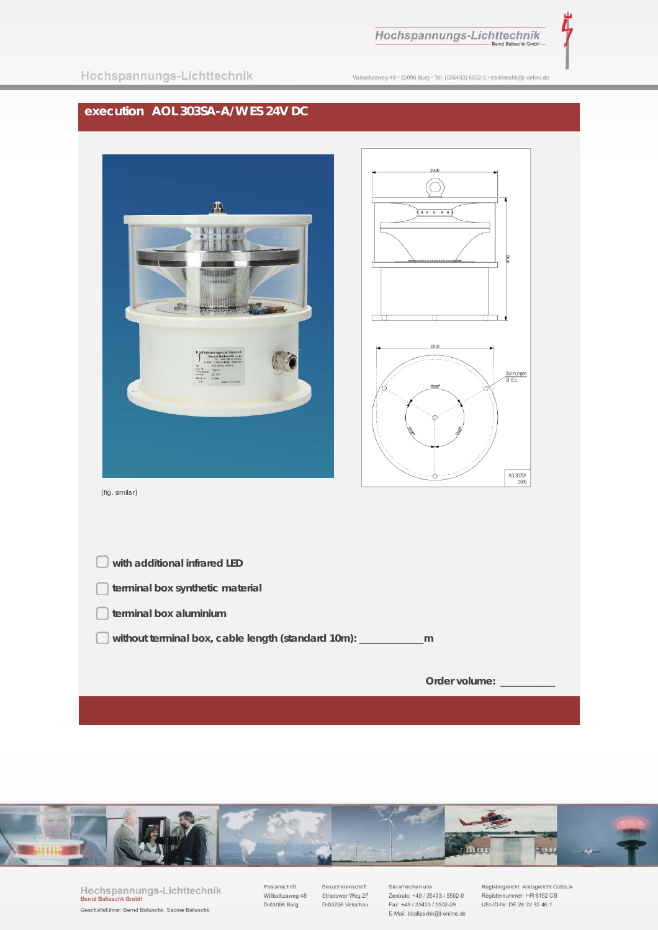

Willischzaweg 48 · 03096 Burg · Tel. (035433) 5502-0 · bballaschk@t-online.de

## **execution AOL 303SA-A/W ES 24V DC**





[fig. similar]

| with additional infrared LED                              |               |
|-----------------------------------------------------------|---------------|
| terminal box synthetic material                           |               |
| terminal box aluminium                                    |               |
| without terminal box, cable length (standard 10m): ______ | m             |
|                                                           |               |
|                                                           | Order volume: |



Hochspannungs-Lichttechnik<br>Bernd Ballaschk GmbH Geschäftsführer: Bernd Ballaschk, Sabine Ballaschk

Postanschrift Willischzaweg 48  $D-03096$  Burg

Besucheranschrift Stradower Weg 27 D-03226 Vetschau Sie erreichen uns Zentrale: +49 / 35433 / 5502-0 Fax: +49 / 35433 / 5502-29 E-Mail: bballaschk@t-online.de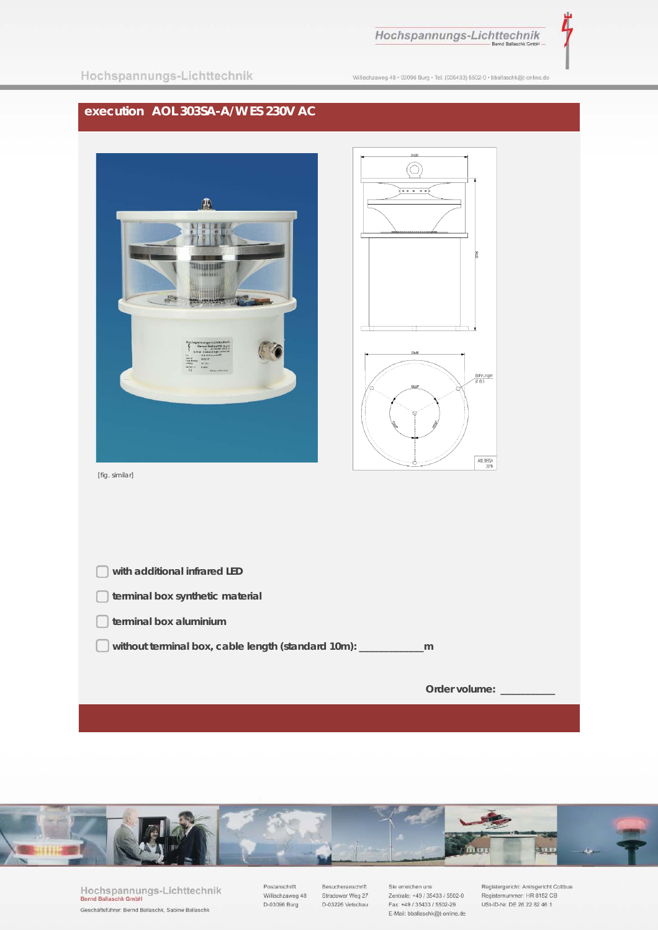

|  |  | Hochspannungs-Lichttechnik |
|--|--|----------------------------|
|  |  |                            |

Willischzaweg 48 · 03096 Burg · Tel. (035433) 5502-0 · bballaschk@t-online.de

## execution AOL 303SA-A/W ES 230V AC





Hochspannungs-Lichttechnik<br>Bernd Ballaschk GmbH Geschäftsführer: Bernd Ballaschk, Sabine Ballaschk

Postanschrift Willischzaweg 48 D-03096 Burg

Besucheranschrift Stradower Weg 27 D-03226 Vetschau

Sie erreichen uns Zentrale: +49 / 35433 / 5502-0 Fax: +49 / 35433 / 5502-29 E-Mail: bballaschk@t-online.de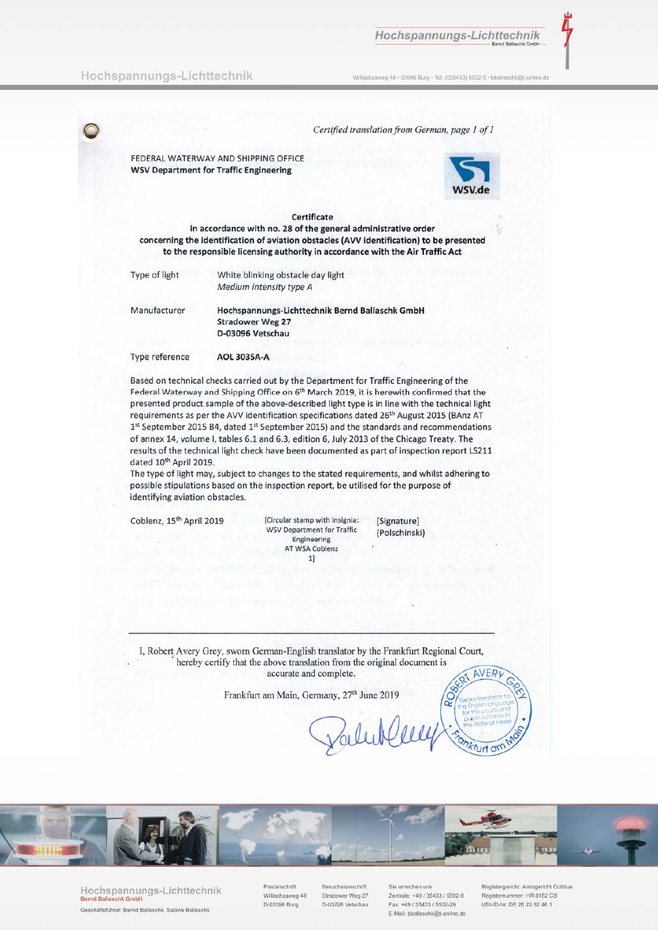Willischzaweg 48 · 03096 Burg · Tel. (035433) 5502-0 · bballaschk@t-online.de

## Hochspannungs-Lichttechnik

Certified translation from German, page 1 of 1 FEDERAL WATERWAY AND SHIPPING OFFICE **WSV Department for Traffic Engineering** Certificate in accordance with no. 28 of the general administrative order concerning the identification of aviation obstacles (AVV identification) to be presented to the responsible licensing authority in accordance with the Air Traffic Act Type of light White blinking obstacle day light Medium intensity type A Manufacturer Hochspannungs-Lichttechnik Bernd Ballaschk GmbH **Stradower Weg 27** D-03096 Vetschau Type reference **AOL 303SA-A** 

Based on technical checks carried out by the Department for Traffic Engineering of the Federal Waterway and Shipping Office on 6<sup>th</sup> March 2019, it is herewith confirmed that the presented product sample of the above-described light type is in line with the technical light requirements as per the AVV identification specifications dated 26<sup>th</sup> August 2015 (BAnz AT 1st September 2015 B4, dated 1st September 2015) and the standards and recommendations of annex 14, volume I, tables 6.1 and 6.3, edition 6, July 2013 of the Chicago Treaty. The results of the technical light check have been documented as part of inspection report LS211 dated 10<sup>th</sup> April 2019.

The type of light may, subject to changes to the stated requirements, and whilst adhering to possible stipulations based on the inspection report, be utilised for the purpose of identifying aviation obstacles.

Coblenz, 15<sup>th</sup> April 2019

[Circular stamp with insignia: **WSV Department for Traffic** Engineering AT WSA Coblenz  $1]$ 

[Signature] (Polschinski)

I, Robert Avery Grey, sworn German-English translator by the Frankfurt Regional Court, hereby certify that the above translation from the original document is accurate and complete. **AVER** 

Frankfurt am Main, Germany, 27th June 2019



Hochspannungs-Lichttechnik Geschäftsführer: Bernd Ballaschk, Sabine Ballaschk

stanschrift Willischzaweg 48 D-03096 Burg

**Besucheranschrift** Stradower Weg 27 D-03226 Vetschau

Zentrale: +49 / 35433 / 5502-0 Eav: +49 / 35433 / 5502-29 E-Mail: bballaschk@t-online.de

**Q** 

*kfurt* ar